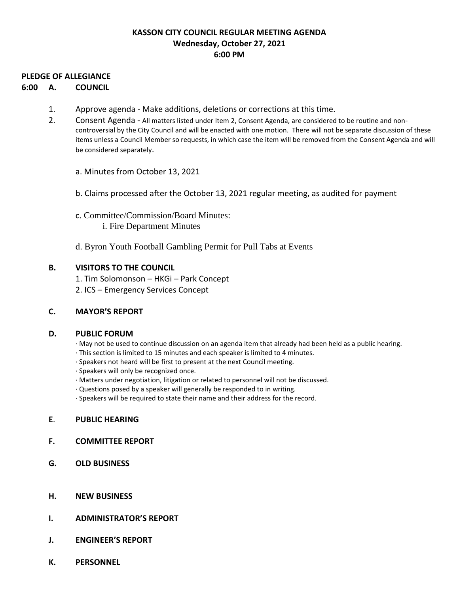### **KASSON CITY COUNCIL REGULAR MEETING AGENDA Wednesday, October 27, 2021 6:00 PM**

#### **PLEDGE OF ALLEGIANCE**

#### **6:00 A. COUNCIL**

- 1. Approve agenda Make additions, deletions or corrections at this time.
- 2. Consent Agenda All matters listed under Item 2, Consent Agenda, are considered to be routine and noncontroversial by the City Council and will be enacted with one motion. There will not be separate discussion of these items unless a Council Member so requests, in which case the item will be removed from the Consent Agenda and will be considered separately.
	- a. Minutes from October 13, 2021
	- b. Claims processed after the October 13, 2021 regular meeting, as audited for payment
	- c. Committee/Commission/Board Minutes: i. Fire Department Minutes
	- d. Byron Youth Football Gambling Permit for Pull Tabs at Events

#### **B. VISITORS TO THE COUNCIL**

- 1. Tim Solomonson HKGi Park Concept
- 2. ICS Emergency Services Concept

#### **C. MAYOR'S REPORT**

#### **D. PUBLIC FORUM**

- · May not be used to continue discussion on an agenda item that already had been held as a public hearing.
- · This section is limited to 15 minutes and each speaker is limited to 4 minutes.
- · Speakers not heard will be first to present at the next Council meeting.
- · Speakers will only be recognized once.
- · Matters under negotiation, litigation or related to personnel will not be discussed.
- · Questions posed by a speaker will generally be responded to in writing.
- · Speakers will be required to state their name and their address for the record.

#### **E**. **PUBLIC HEARING**

- **F. COMMITTEE REPORT**
- **G. OLD BUSINESS**
- **H. NEW BUSINESS**
- **I. ADMINISTRATOR'S REPORT**
- **J. ENGINEER'S REPORT**
- **K. PERSONNEL**